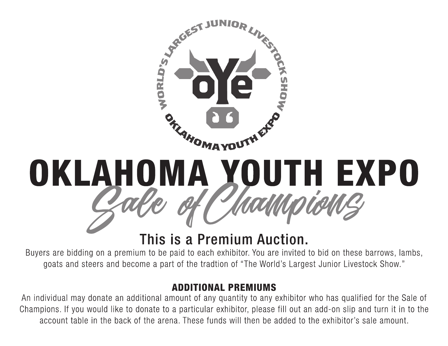

## OKLAHOMA YOUTH EXPO

## This is a Premium Auction.

Buyers are bidding on a premium to be paid to each exhibitor. You are invited to bid on these barrows, lambs, goats and steers and become a part of the tradtion of "The World's Largest Junior Livestock Show."

## **ADDITIONAL PREMIUMS**

An individual may donate an additional amount of any quantity to any exhibitor who has qualified for the Sale of Champions. If you would like to donate to a particular exhibitor, please fill out an add-on slip and turn it in to the account table in the back of the arena. These funds will then be added to the exhibitor's sale amount.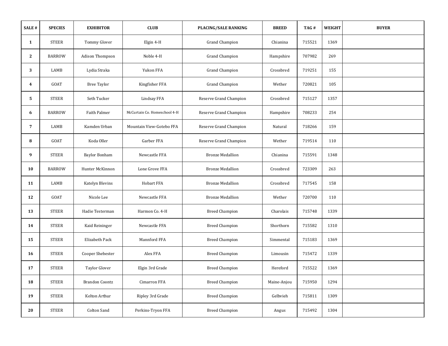| SALE#          | <b>SPECIES</b> | <b>EXHIBITOR</b>      | <b>CLUB</b>                  | <b>PLACING/SALE RANKING</b> | <b>BREED</b> | TAG#   | <b>WEIGHT</b> | <b>BUYER</b> |
|----------------|----------------|-----------------------|------------------------------|-----------------------------|--------------|--------|---------------|--------------|
| $\mathbf{1}$   | <b>STEER</b>   | Tommy Glover          | Elgin 4-H                    | <b>Grand Champion</b>       | Chianina     | 715521 | 1369          |              |
| $\mathbf{2}$   | <b>BARROW</b>  | Adison Thompson       | Noble 4-H                    | <b>Grand Champion</b>       | Hampshire    | 707982 | 269           |              |
| 3              | LAMB           | Lydia Straka          | Yukon FFA                    | <b>Grand Champion</b>       | Crossbred    | 719251 | 155           |              |
| $\overline{4}$ | GOAT           | <b>Bree Taylor</b>    | Kingfisher FFA               | <b>Grand Champion</b>       | Wether       | 720821 | 105           |              |
| 5              | <b>STEER</b>   | Seth Tucker           | Lindsay FFA                  | Reserve Grand Champion      | Crossbred    | 715127 | 1357          |              |
| 6              | <b>BARROW</b>  | Faith Palmer          | McCurtain Co. Homeschool 4-H | Reserve Grand Champion      | Hampshire    | 708233 | 254           |              |
| 7              | LAMB           | Kamden Urban          | Mountain View-Gotebo FFA     | Reserve Grand Champion      | Natural      | 718266 | 159           |              |
| 8              | GOAT           | Koda Oller            | Garber FFA                   | Reserve Grand Champion      | Wether       | 719514 | 110           |              |
| 9              | <b>STEER</b>   | <b>Baylor Bonham</b>  | Newcastle FFA                | <b>Bronze Medallion</b>     | Chianina     | 715591 | 1348          |              |
| 10             | <b>BARROW</b>  | Hunter McKinnon       | Lone Grove FFA               | <b>Bronze Medallion</b>     | Crossbred    | 723309 | 263           |              |
| 11             | LAMB           | Katelyn Blevins       | Hobart FFA                   | <b>Bronze Medallion</b>     | Crossbred    | 717545 | 158           |              |
| 12             | GOAT           | Nicole Lee            | Newcastle FFA                | <b>Bronze Medallion</b>     | Wether       | 720700 | 110           |              |
| 13             | <b>STEER</b>   | Hadie Testerman       | Harmon Co. 4-H               | <b>Breed Champion</b>       | Charolais    | 715748 | 1339          |              |
| 14             | <b>STEER</b>   | Kaid Reininger        | Newcastle FFA                | <b>Breed Champion</b>       | Shorthorn    | 715582 | 1310          |              |
| 15             | <b>STEER</b>   | Elizabeth Pack        | Mannford FFA                 | <b>Breed Champion</b>       | Simmental    | 715183 | 1369          |              |
| 16             | <b>STEER</b>   | Cooper Shebester      | Alex FFA                     | <b>Breed Champion</b>       | Limousin     | 715472 | 1339          |              |
| 17             | <b>STEER</b>   | <b>Taylor Glover</b>  | Elgin 3rd Grade              | <b>Breed Champion</b>       | Hereford     | 715522 | 1369          |              |
| 18             | <b>STEER</b>   | <b>Brandon Coontz</b> | Cimarron FFA                 | <b>Breed Champion</b>       | Maine-Anjou  | 715950 | 1294          |              |
| 19             | <b>STEER</b>   | Kelton Arthur         | Ripley 3rd Grade             | <b>Breed Champion</b>       | Gelbvieh     | 715811 | 1309          |              |
| 20             | <b>STEER</b>   | Colton Sand           | Perkins-Tryon FFA            | <b>Breed Champion</b>       | Angus        | 715492 | 1304          |              |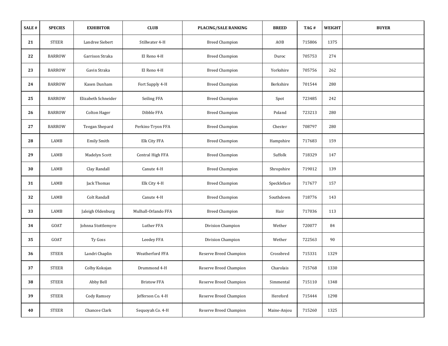| SALE # | <b>SPECIES</b> | <b>EXHIBITOR</b>    | <b>CLUB</b>         | PLACING/SALE RANKING   | <b>BREED</b> | TAG#   | WEIGHT | <b>BUYER</b> |
|--------|----------------|---------------------|---------------------|------------------------|--------------|--------|--------|--------------|
| 21     | <b>STEER</b>   | Landree Siebert     | Stillwater 4-H      | <b>Breed Champion</b>  | AOB          | 715806 | 1375   |              |
| 22     | <b>BARROW</b>  | Garrison Straka     | El Reno 4-H         | <b>Breed Champion</b>  | Duroc        | 705753 | 274    |              |
| 23     | <b>BARROW</b>  | Gavin Straka        | El Reno 4-H         | <b>Breed Champion</b>  | Yorkshire    | 705756 | 262    |              |
| 24     | <b>BARROW</b>  | Kasen Dunham        | Fort Supply 4-H     | <b>Breed Champion</b>  | Berkshire    | 701544 | 280    |              |
| 25     | <b>BARROW</b>  | Elizabeth Schneider | Seiling FFA         | <b>Breed Champion</b>  | Spot         | 723485 | 242    |              |
| 26     | <b>BARROW</b>  | <b>Colton Hager</b> | Dibble FFA          | <b>Breed Champion</b>  | Poland       | 723213 | 280    |              |
| 27     | <b>BARROW</b>  | Teegan Shepard      | Perkins-Tryon FFA   | <b>Breed Champion</b>  | Chester      | 708797 | 280    |              |
| 28     | LAMB           | <b>Emily Smith</b>  | <b>Elk City FFA</b> | <b>Breed Champion</b>  | Hampshire    | 717683 | 159    |              |
| 29     | LAMB           | Madelyn Scott       | Central High FFA    | <b>Breed Champion</b>  | Suffolk      | 718329 | 147    |              |
| 30     | LAMB           | Clay Randall        | Canute 4-H          | <b>Breed Champion</b>  | Shropshire   | 719012 | 139    |              |
| 31     | LAMB           | Jack Thomas         | Elk City 4-H        | <b>Breed Champion</b>  | Speckleface  | 717677 | 157    |              |
| 32     | LAMB           | Colt Randall        | Canute 4-H          | <b>Breed Champion</b>  | Southdown    | 718776 | 143    |              |
| 33     | LAMB           | Jaleigh Oldenburg   | Mulhall-Orlando FFA | <b>Breed Champion</b>  | Hair         | 717036 | 113    |              |
| 34     | GOAT           | Johnna Stottlemyre  | Luther FFA          | Division Champion      | Wether       | 720077 | 84     |              |
| 35     | GOAT           | Ty Goss             | <b>Leedey FFA</b>   | Division Champion      | Wether       | 722563 | 90     |              |
| 36     | <b>STEER</b>   | Landri Chaplin      | Weatherford FFA     | Reserve Breed Champion | Crossbred    | 715331 | 1329   |              |
| 37     | <b>STEER</b>   | Colby Kokojan       | Drummond 4-H        | Reserve Breed Champion | Charolais    | 715768 | 1330   |              |
| 38     | <b>STEER</b>   | Abby Bell           | <b>Bristow FFA</b>  | Reserve Breed Champion | Simmental    | 715110 | 1348   |              |
| 39     | <b>STEER</b>   | <b>Cody Ramsey</b>  | Jefferson Co. 4-H   | Reserve Breed Champion | Hereford     | 715444 | 1298   |              |
| 40     | <b>STEER</b>   | Chancee Clark       | Sequoyah Co. 4-H    | Reserve Breed Champion | Maine-Anjou  | 715260 | 1325   |              |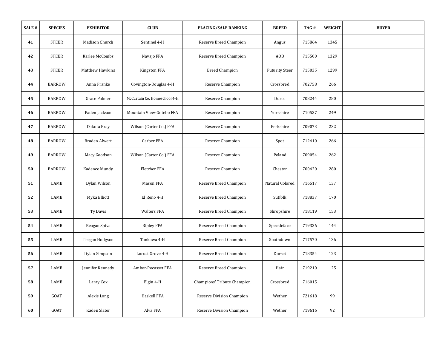| SALE# | <b>SPECIES</b> | <b>EXHIBITOR</b>       | <b>CLUB</b>                  | <b>PLACING/SALE RANKING</b>      | <b>BREED</b>          | TAG#   | WEIGHT | <b>BUYER</b> |
|-------|----------------|------------------------|------------------------------|----------------------------------|-----------------------|--------|--------|--------------|
| 41    | <b>STEER</b>   | Madison Church         | Sentinel 4-H                 | Reserve Breed Champion           | Angus                 | 715864 | 1345   |              |
| 42    | <b>STEER</b>   | Karlee McCombs         | Navajo FFA                   | Reserve Breed Champion           | AOB                   | 715500 | 1329   |              |
| 43    | <b>STEER</b>   | <b>Matthew Hawkins</b> | Kingston FFA                 | <b>Breed Champion</b>            | <b>Futurity Steer</b> | 715035 | 1299   |              |
| 44    | <b>BARROW</b>  | Anna Franke            | Covington-Douglas 4-H        | Reserve Champion                 | Crossbred             | 702758 | 266    |              |
| 45    | <b>BARROW</b>  | Grace Palmer           | McCurtain Co. Homeschool 4-H | Reserve Champion                 | Duroc                 | 708244 | 280    |              |
| 46    | <b>BARROW</b>  | Paden Jackson          | Mountain View-Gotebo FFA     | Reserve Champion                 | Yorkshire             | 710537 | 249    |              |
| 47    | <b>BARROW</b>  | Dakota Bray            | Wilson (Carter Co.) FFA      | Reserve Champion                 | Berkshire             | 709073 | 232    |              |
| 48    | <b>BARROW</b>  | <b>Braden Alwert</b>   | Garber FFA                   | Reserve Champion                 | Spot                  | 712410 | 266    |              |
| 49    | <b>BARROW</b>  | Macy Goodson           | Wilson (Carter Co.) FFA      | Reserve Champion                 | Poland                | 709054 | 262    |              |
| 50    | <b>BARROW</b>  | Kadence Mundy          | Fletcher FFA                 | Reserve Champion                 | Chester               | 700420 | 280    |              |
| 51    | LAMB           | Dylan Wilson           | Mason FFA                    | Reserve Breed Champion           | Natural Colored       | 716517 | 137    |              |
| 52    | LAMB           | Myka Elliott           | El Reno 4-H                  | Reserve Breed Champion           | Suffolk               | 718837 | 170    |              |
| 53    | LAMB           | Ty Davis               | <b>Walters FFA</b>           | Reserve Breed Champion           | Shropshire            | 718119 | 153    |              |
| 54    | LAMB           | Reagan Spiva           | <b>Ripley FFA</b>            | Reserve Breed Champion           | Speckleface           | 719336 | 144    |              |
| 55    | LAMB           | Teegan Hodgson         | Tonkawa 4-H                  | Reserve Breed Champion           | Southdown             | 717570 | 136    |              |
| 56    | LAMB           | Dylan Simpson          | Locust Grove 4-H             | Reserve Breed Champion           | Dorset                | 718354 | 123    |              |
| 57    | LAMB           | Jennifer Kennedy       | Amber-Pocasset FFA           | Reserve Breed Champion           | Hair                  | 719210 | 125    |              |
| 58    | LAMB           | Laray Cox              | Elgin 4-H                    | Champions' Tribute Champion      | Crossbred             | 716015 |        |              |
| 59    | GOAT           | Alexis Long            | Haskell FFA                  | <b>Reserve Division Champion</b> | Wether                | 721618 | 99     |              |
| 60    | GOAT           | Kaden Slater           | Alva FFA                     | Reserve Division Champion        | Wether                | 719616 | 92     |              |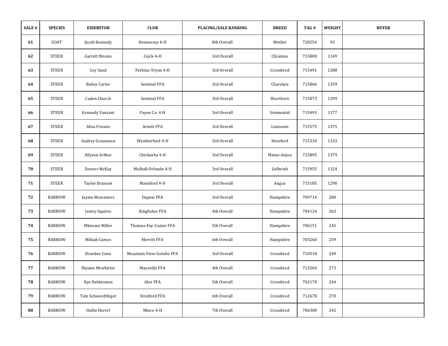| SALE # | <b>SPECIES</b> | <b>EXHIBITOR</b>      | CLUB                     | <b>PLACING/SALE RANKING</b> | <b>BREED</b> | TAG#   | WEIGHT | <b>BUYER</b> |
|--------|----------------|-----------------------|--------------------------|-----------------------------|--------------|--------|--------|--------------|
| 61     | GOAT           | Jacob Kennedy         | Hennessey 4-H            | 8th Overall                 | Wether       | 720254 | 93     |              |
| 62     | <b>STEER</b>   | <b>Garrett Nivens</b> | Coyle 4-H                | 3rd Overall                 | Chianina     | 715800 | 1349   |              |
| 63     | <b>STEER</b>   | Coy Sand              | Perkins-Tryon 4-H        | 3rd Overall                 | Crossbred    | 715491 | 1288   |              |
| 64     | <b>STEER</b>   | <b>Bailey Carter</b>  | Sentinel FFA             | 3rd Overall                 | Charolais    | 715866 | 1359   |              |
| 65     | <b>STEER</b>   | Caden Church          | Sentinel FFA             | 3rd Overall                 | Shorthorn    | 715873 | 1299   |              |
| 66     | <b>STEER</b>   | Kennedy Vanzant       | Payne Co. 4-H            | 3rd Overall                 | Simmental    | 715493 | 1377   |              |
| 67     | <b>STEER</b>   | Alisa Friesen         | Arnett FFA               | 3rd Overall                 | Limousin     | 715575 | 1375   |              |
| 68     | <b>STEER</b>   | Audrey Graumann       | Weatherford 4-H          | 3rd Overall                 | Hereford     | 715334 | 1333   |              |
| 69     | <b>STEER</b>   | Allyson Arthur        | Chickasha 4-H            | 3rd Overall                 | Maine-Anjou  | 715895 | 1379   |              |
| 70     | <b>STEER</b>   | Denver McKay          | Mulhall-Orlando 4-H      | 3rd Overall                 | Gelbvieh     | 715955 | 1324   |              |
| 71     | <b>STEER</b>   | Taylor Branson        | Mannford 4-H             | 3rd Overall                 | Angus        | 715185 | 1290   |              |
| 72     | <b>BARROW</b>  | Jayme Mcmasters       | Depew FFA                | 3rd Overall                 | Hampshire    | 709714 | 280    |              |
| 73     | <b>BARROW</b>  | Jentry Squires        | Kingfisher FFA           | 4th Overall                 | Hampshire    | 704124 | 263    |              |
| 74     | <b>BARROW</b>  | Mkenzee Miller        | Thomas-Fay-Custer FFA    | 5th Overall                 | Hampshire    | 706151 | 245    |              |
| 75     | <b>BARROW</b>  | Mikiah Cames          | Merritt FFA              | 6th Overall                 | Hampshire    | 703260 | 259    |              |
| 76     | <b>BARROW</b>  | Braeden Coon          | Mountain View-Gotebo FFA | 3rd Overall                 | Crossbred    | 710518 | 249    |              |
| 77     | <b>BARROW</b>  | Shyann Mcwhirter      | Maysville FFA            | 4th Overall                 | Crossbred    | 713264 | 273    |              |
| 78     | <b>BARROW</b>  | Kye Heldermon         | Alex FFA                 | 5th Overall                 | Crossbred    | 702170 | 244    |              |
| 79     | <b>BARROW</b>  | Tate Schwerdtfeger    | <b>Stratford FFA</b>     | 6th Overall                 | Crossbred    | 712678 | 270    |              |
| 80     | <b>BARROW</b>  | Hallie Herrel         | Minco 4-H                | 7th Overall                 | Crossbred    | 706300 | 242    |              |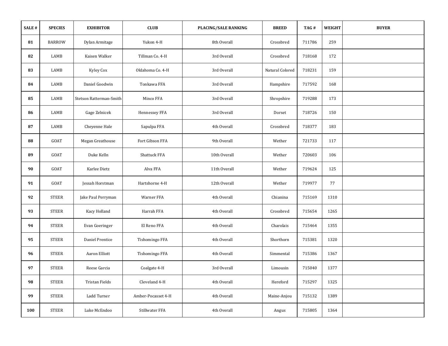| SALE# | <b>SPECIES</b> | <b>EXHIBITOR</b>        | CLUB               | <b>PLACING/SALE RANKING</b> | <b>BREED</b>    | TAG#   | WEIGHT | <b>BUYER</b> |
|-------|----------------|-------------------------|--------------------|-----------------------------|-----------------|--------|--------|--------------|
| 81    | <b>BARROW</b>  | Dylan Armitage          | Yukon 4-H          | 8th Overall                 | Crossbred       | 711786 | 259    |              |
| 82    | LAMB           | Kaisen Walker           | Tillman Co. 4-H    | 3rd Overall                 | Crossbred       | 718168 | 172    |              |
| 83    | LAMB           | Kyley Cox               | Oklahoma Co. 4-H   | 3rd Overall                 | Natural Colored | 718231 | 159    |              |
| 84    | LAMB           | Daniel Goodwin          | Tonkawa FFA        | 3rd Overall                 | Hampshire       | 717592 | 168    |              |
| 85    | LAMB           | Stetson Ratterman-Smith | Minco FFA          | 3rd Overall                 | Shropshire      | 719288 | 173    |              |
| 86    | LAMB           | Gage Zelnicek           | Hennessey FFA      | 3rd Overall                 | Dorset          | 718726 | 150    |              |
| 87    | LAMB           | Cheyenne Hale           | Sapulpa FFA        | 4th Overall                 | Crossbred       | 718377 | 183    |              |
| 88    | GOAT           | Megan Greathouse        | Fort Gibson FFA    | 9th Overall                 | Wether          | 721733 | 117    |              |
| 89    | GOAT           | Duke Kelln              | Shattuck FFA       | 10th Overall                | Wether          | 720603 | 106    |              |
| 90    | GOAT           | Karlee Dietz            | Alva FFA           | 11th Overall                | Wether          | 719624 | 125    |              |
| 91    | GOAT           | Jessah Horstman         | Hartshorne 4-H     | 12th Overall                | Wether          | 719977 | 77     |              |
| 92    | <b>STEER</b>   | Jake Paul Perryman      | Warner FFA         | 4th Overall                 | Chianina        | 715169 | 1310   |              |
| 93    | <b>STEER</b>   | Kacy Holland            | Harrah FFA         | 4th Overall                 | Crossbred       | 715654 | 1265   |              |
| 94    | <b>STEER</b>   | Evan Goeringer          | El Reno FFA        | 4th Overall                 | Charolais       | 715464 | 1355   |              |
| 95    | <b>STEER</b>   | Daniel Prentice         | Tishomingo FFA     | 4th Overall                 | Shorthorn       | 715381 | 1320   |              |
| 96    | <b>STEER</b>   | Aaron Elliott           | Tishomingo FFA     | 4th Overall                 | Simmental       | 715386 | 1367   |              |
| 97    | <b>STEER</b>   | Reese Garcia            | Coalgate 4-H       | 3rd Overall                 | Limousin        | 715040 | 1377   |              |
| 98    | <b>STEER</b>   | Tristan Fields          | Cleveland 4-H      | 4th Overall                 | Hereford        | 715297 | 1325   |              |
| 99    | <b>STEER</b>   | Ladd Turner             | Amber-Pocasset 4-H | 4th Overall                 | Maine-Anjou     | 715132 | 1389   |              |
| 100   | <b>STEER</b>   | Luke McEndoo            | Stillwater FFA     | 4th Overall                 | Angus           | 715805 | 1364   |              |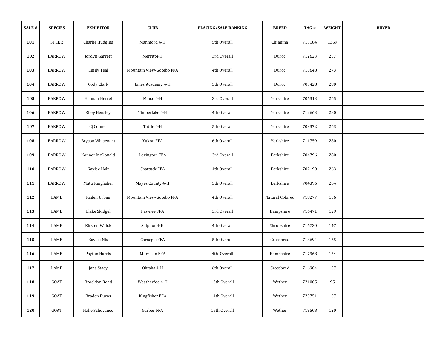| SALE # | <b>SPECIES</b> | <b>EXHIBITOR</b>     | CLUB                     | <b>PLACING/SALE RANKING</b> | <b>BREED</b>    | TAG#   | WEIGHT | <b>BUYER</b> |
|--------|----------------|----------------------|--------------------------|-----------------------------|-----------------|--------|--------|--------------|
| 101    | <b>STEER</b>   | Charlie Hudgins      | Mannford 4-H             | 5th Overall                 | Chianina        | 715184 | 1369   |              |
| 102    | <b>BARROW</b>  | Jordyn Garrett       | Merritt4-H               | 3rd Overall                 | Duroc           | 712623 | 257    |              |
| 103    | <b>BARROW</b>  | <b>Emily Teal</b>    | Mountain View-Gotebo FFA | 4th Overall                 | Duroc           | 710648 | 273    |              |
| 104    | <b>BARROW</b>  | Cody Clark           | Jones Academy 4-H        | 5th Overall                 | Duroc           | 703428 | 280    |              |
| 105    | <b>BARROW</b>  | Hannah Herrel        | Minco 4-H                | 3rd Overall                 | Yorkshire       | 706313 | 265    |              |
| 106    | <b>BARROW</b>  | <b>Riley Hensley</b> | Timberlake 4-H           | 4th Overall                 | Yorkshire       | 712663 | 280    |              |
| 107    | <b>BARROW</b>  | Cj Conner            | Tuttle 4-H               | 5th Overall                 | Yorkshire       | 709372 | 263    |              |
| 108    | <b>BARROW</b>  | Bryson Whisenant     | Yukon FFA                | 6th Overall                 | Yorkshire       | 711759 | 280    |              |
| 109    | <b>BARROW</b>  | Konnor McDonald      | Lexington FFA            | 3rd Overall                 | Berkshire       | 704796 | 280    |              |
| 110    | <b>BARROW</b>  | Kaylee Holt          | Shattuck FFA             | 4th Overall                 | Berkshire       | 702190 | 263    |              |
| 111    | <b>BARROW</b>  | Matti Kingfisher     | Mayes County 4-H         | 5th Overall                 | Berkshire       | 704396 | 264    |              |
| 112    | LAMB           | Kailen Urban         | Mountain View-Gotebo FFA | 4th Overall                 | Natural Colored | 718277 | 136    |              |
| 113    | LAMB           | <b>Blake Skidgel</b> | Pawnee FFA               | 3rd Overall                 | Hampshire       | 716471 | 129    |              |
| 114    | LAMB           | Kirsten Walck        | Sulphur 4-H              | 4th Overall                 | Shropshire      | 716730 | 147    |              |
| 115    | LAMB           | <b>Baylee Nix</b>    | Carnegie FFA             | 5th Overall                 | Crossbred       | 718694 | 165    |              |
| 116    | LAMB           | Payton Harris        | Morrison FFA             | 4th Overall                 | Hampshire       | 717968 | 154    |              |
| 117    | ${\rm LAMB}$   | Jana Stacy           | Oktaha 4-H               | 6th Overall                 | Crossbred       | 716904 | 157    |              |
| 118    | GOAT           | Brooklyn Read        | Weatherfod 4-H           | 13th Overall                | Wether          | 721005 | 95     |              |
| 119    | GOAT           | <b>Braden Burns</b>  | Kingfisher FFA           | 14th Overall                | Wether          | 720751 | 107    |              |
| 120    | GOAT           | Halie Schovanec      | Garber FFA               | 15th Overall                | Wether          | 719508 | 120    |              |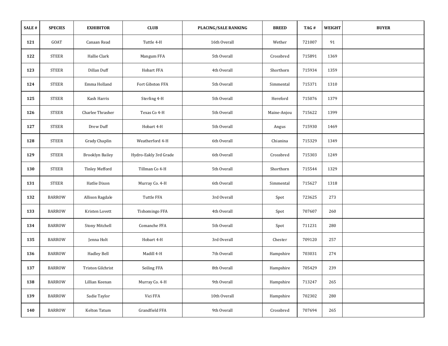| SALE # | <b>SPECIES</b> | <b>EXHIBITOR</b>       | CLUB                                             | <b>PLACING/SALE RANKING</b> | <b>BREED</b> | TAG#   | WEIGHT | <b>BUYER</b> |
|--------|----------------|------------------------|--------------------------------------------------|-----------------------------|--------------|--------|--------|--------------|
| 121    | GOAT           | Canaan Read            | Tuttle 4-H                                       | 16th Overall                | Wether       | 721007 | 91     |              |
| 122    | <b>STEER</b>   | Hallie Clark           | Mangum FFA                                       | 5th Overall                 | Crossbred    | 715891 | 1369   |              |
| 123    | <b>STEER</b>   | Dillan Duff            | <b>Hobart FFA</b>                                | 4th Overall                 | Shorthorn    | 715934 | 1359   |              |
| 124    | <b>STEER</b>   | Emma Holland           | Fort Gibston FFA                                 | 5th Overall                 | Simmental    | 715371 | 1310   |              |
| 125    | <b>STEER</b>   | Kash Harris            | Sterling 4-H                                     | 5th Overall                 | Hereford     | 715076 | 1379   |              |
| 126    | <b>STEER</b>   | Charlee Thrasher       | Texas Co 4-H                                     | 5th Overall                 | Maine-Anjou  | 715622 | 1399   |              |
| 127    | <b>STEER</b>   | Drew Duff              | Hobart 4-H                                       | 5th Overall                 | Angus        | 715930 | 1469   |              |
| 128    | <b>STEER</b>   | Grady Chaplin          | Weatherford 4-H                                  | 6th Overall                 | Chianina     | 715329 | 1349   |              |
| 129    | <b>STEER</b>   | <b>Brooklyn Bailey</b> | Hydro-Eakly 3rd Grade                            | 6th Overall                 | Crossbred    | 715303 | 1249   |              |
| 130    | <b>STEER</b>   | <b>Tinley Mefford</b>  | Tillman Co 4-H                                   | 5th Overall                 | Shorthorn    | 715544 | 1329   |              |
| 131    | <b>STEER</b>   | Hatlie Dixon           | Murray Co. 4-H                                   | 6th Overall                 | Simmental    | 715627 | 1318   |              |
| 132    | <b>BARROW</b>  | Allison Ragdale        | Tuttle FFA                                       | 3rd Overall                 | Spot         | 723625 | 273    |              |
| 133    | <b>BARROW</b>  | Kristen Lovett         | Tishomingo FFA                                   | 4th Overall                 | Spot         | 707607 | 260    |              |
| 134    | <b>BARROW</b>  | <b>Stony Mitchell</b>  | Comanche FFA                                     | 5th Overall                 | Spot         | 711231 | 280    |              |
| 135    | <b>BARROW</b>  | Jenna Holt             | Hobart 4-H                                       | 3rd Overall                 | Chester      | 709120 | 257    |              |
| 136    | <b>BARROW</b>  | Hadley Bell            | Madill 4-H                                       | 7th Overall                 | Hampshire    | 703031 | 274    |              |
| 137    | <b>BARROW</b>  | Triston Gilchrist      | Seiling FFA                                      | 8th Overall                 | Hampshire    | 705429 | 239    |              |
| 138    | <b>BARROW</b>  | Lillian Keenan         | Murray Co. 4-H                                   | 9th Overall                 | Hampshire    | 713247 | 265    |              |
| 139    | <b>BARROW</b>  | Sadie Taylor           | Vici FFA                                         | 10th Overall                | Hampshire    | 702302 | 280    |              |
| 140    | <b>BARROW</b>  | Kelton Tatum           | $\operatorname{Grandfield}$ $\operatorname{FFA}$ | 9th Overall                 | Crossbred    | 707694 | 265    |              |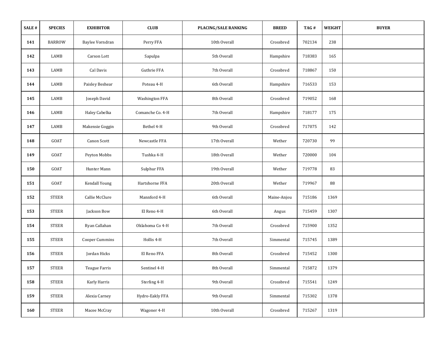| SALE # | <b>SPECIES</b> | <b>EXHIBITOR</b>     | <b>CLUB</b>           | PLACING/SALE RANKING | <b>BREED</b> | TAG#   | <b>WEIGHT</b> | <b>BUYER</b> |
|--------|----------------|----------------------|-----------------------|----------------------|--------------|--------|---------------|--------------|
| 141    | <b>BARROW</b>  | Baylee Vorndran      | Perry FFA             | 10th Overall         | Crossbred    | 702134 | 238           |              |
| 142    | LAMB           | Carson Lott          | Sapulpa               | 5th Overall          | Hampshire    | 718383 | 165           |              |
| 143    | LAMB           | Cal Davis            | <b>Guthrie FFA</b>    | 7th Overall          | Crossbred    | 718867 | 150           |              |
| 144    | LAMB           | Paisley Beshear      | Poteau 4-H            | 6th Overall          | Hampshire    | 716533 | 153           |              |
| 145    | LAMB           | Joseph David         | <b>Washington FFA</b> | 8th Overall          | Crossbred    | 719052 | 168           |              |
| 146    | LAMB           | Haley Cabelka        | Comanche Co. 4-H      | 7th Overall          | Hampshire    | 718177 | 175           |              |
| 147    | LAMB           | Makensie Goggin      | Bethel 4-H            | 9th Overall          | Crossbred    | 717075 | 142           |              |
| 148    | GOAT           | Canon Scott          | Newcastle FFA         | 17th Overall         | Wether       | 720730 | 99            |              |
| 149    | GOAT           | Peyton Mobbs         | Tushka 4-H            | 18th Overall         | Wether       | 720000 | 104           |              |
| 150    | GOAT           | Hunter Mann          | Sulphur FFA           | 19th Overall         | Wether       | 719778 | 83            |              |
| 151    | GOAT           | Kendall Young        | Hartshorne FFA        | 20th Overall         | Wether       | 719967 | 88            |              |
| 152    | <b>STEER</b>   | Callie McClure       | Mannford 4-H          | 6th Overall          | Maine-Anjou  | 715186 | 1369          |              |
| 153    | <b>STEER</b>   | Jackson Bow          | El Reno 4-H           | 6th Overall          | Angus        | 715459 | 1307          |              |
| 154    | <b>STEER</b>   | Ryan Callahan        | Oklahoma Co 4-H       | 7th Overall          | Crossbred    | 715900 | 1352          |              |
| 155    | <b>STEER</b>   | Cooper Cummins       | Hollis 4-H            | 7th Overall          | Simmental    | 715745 | 1389          |              |
| 156    | <b>STEER</b>   | Jordan Hicks         | El Reno FFA           | 8th Overall          | Crossbred    | 715452 | 1300          |              |
| 157    | <b>STEER</b>   | <b>Teague Farris</b> | Sentinel 4-H          | 8th Overall          | Simmental    | 715872 | 1379          |              |
| 158    | <b>STEER</b>   | Karly Harris         | Sterling 4-H          | 9th Overall          | Crossbred    | 715541 | 1249          |              |
| 159    | <b>STEER</b>   | Alexia Carney        | Hydro-Eakly FFA       | 9th Overall          | Simmental    | 715302 | 1378          |              |
| 160    | <b>STEER</b>   | Macee McCray         | Wagoner 4-H           | 10th Overall         | Crossbred    | 715267 | 1319          |              |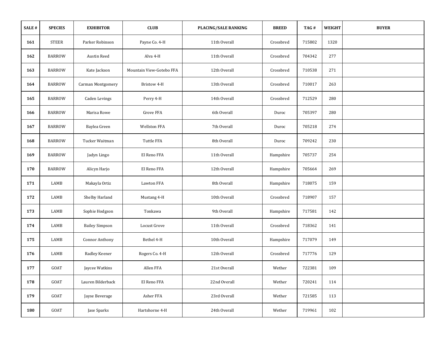| SALE # | <b>SPECIES</b> | <b>EXHIBITOR</b>      | <b>CLUB</b>              | <b>PLACING/SALE RANKING</b> | <b>BREED</b> | TAG#   | WEIGHT | <b>BUYER</b> |
|--------|----------------|-----------------------|--------------------------|-----------------------------|--------------|--------|--------|--------------|
| 161    | <b>STEER</b>   | Parker Robinson       | Payne Co. 4-H            | 11th Overall                | Crossbred    | 715802 | 1320   |              |
| 162    | <b>BARROW</b>  | Austin Reed           | Alva 4-H                 | 11th Overall                | Crossbred    | 704342 | 277    |              |
| 163    | <b>BARROW</b>  | Kate Jackson          | Mountain View-Gotebo FFA | 12th Overall                | Crossbred    | 710538 | 271    |              |
| 164    | <b>BARROW</b>  | Carman Montgomery     | Bristow 4-H              | 13th Overall                | Crossbred    | 710017 | 263    |              |
| 165    | <b>BARROW</b>  | <b>Caden Levings</b>  | Perry 4-H                | 14th Overall                | Crossbred    | 712529 | 280    |              |
| 166    | <b>BARROW</b>  | Marisa Rowe           | Grove FFA                | 6th Overall                 | Duroc        | 705397 | 280    |              |
| 167    | <b>BARROW</b>  | Baylea Green          | Wellston FFA             | 7th Overall                 | Duroc        | 705218 | 274    |              |
| 168    | <b>BARROW</b>  | Tucker Waitman        | Tuttle FFA               | 8th Overall                 | Duroc        | 709242 | 230    |              |
| 169    | <b>BARROW</b>  | Jadyn Lingo           | El Reno FFA              | 11th Overall                | Hampshire    | 705737 | 254    |              |
| 170    | <b>BARROW</b>  | Alicyn Harjo          | El Reno FFA              | 12th Overall                | Hampshire    | 705664 | 269    |              |
| 171    | LAMB           | Makayla Ortiz         | <b>Lawton FFA</b>        | 8th Overall                 | Hampshire    | 718075 | 159    |              |
| 172    | LAMB           | Shelby Harland        | Mustang 4-H              | 10th Overall                | Crossbred    | 718907 | 157    |              |
| 173    | LAMB           | Sophie Hodgson        | Tonkawa                  | 9th Overall                 | Hampshire    | 717581 | 142    |              |
| 174    | LAMB           | <b>Bailey Simpson</b> | Locust Grove             | 11th Overall                | Crossbred    | 718362 | 141    |              |
| 175    | LAMB           | Connor Anthony        | Bethel 4-H               | 10th Overall                | Hampshire    | 717079 | 149    |              |
| 176    | LAMB           | Radley Keener         | Rogers Co. 4-H           | 12th Overall                | Crossbred    | 717776 | 129    |              |
| 177    | GOAT           | Jaycee Watkins        | Allen FFA                | 21st Overall                | Wether       | 722381 | 109    |              |
| 178    | GOAT           | Lauren Bilderback     | El Reno FFA              | 22nd Overall                | Wether       | 720241 | 114    |              |
| 179    | GOAT           | Jayse Beverage        | Asher FFA                | 23rd Overall                | Wether       | 721585 | 113    |              |
| 180    | GOAT           | Jase Sparks           | Hartshorne 4-H           | 24th Overall                | Wether       | 719961 | 102    |              |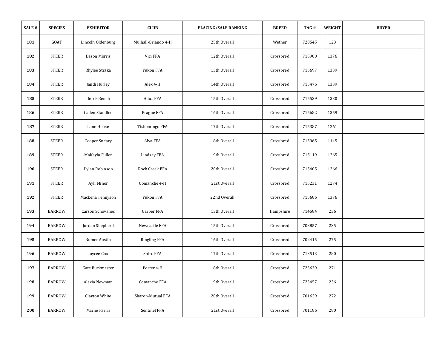| SALE# | <b>SPECIES</b> | <b>EXHIBITOR</b>     | <b>CLUB</b>         | <b>PLACING/SALE RANKING</b> | <b>BREED</b> | TAG#   | WEIGHT | <b>BUYER</b> |
|-------|----------------|----------------------|---------------------|-----------------------------|--------------|--------|--------|--------------|
| 181   | GOAT           | Lincoln Oldenburg    | Mulhall-Orlando 4-H | 25th Overall                | Wether       | 720545 | 123    |              |
| 182   | <b>STEER</b>   | Dason Morris         | Vici FFA            | 12th Overall                | Crossbred    | 715980 | 1376   |              |
| 183   | <b>STEER</b>   | Rhylee Straka        | Yukon FFA           | 13th Overall                | Crossbred    | 715697 | 1339   |              |
| 184   | <b>STEER</b>   | Jandi Hurley         | Alex 4-H            | 14th Overall                | Crossbred    | 715476 | 1339   |              |
| 185   | <b>STEER</b>   | Derek Bench          | Altus FFA           | 15th Overall                | Crossbred    | 715539 | 1330   |              |
| 186   | <b>STEER</b>   | Caden Standlee       | Prague FFA          | 16th Overall                | Crossbred    | 715682 | 1359   |              |
| 187   | <b>STEER</b>   | Lane House           | Tishomingo FFA      | 17th Overall                | Crossbred    | 715387 | 1261   |              |
| 188   | <b>STEER</b>   | <b>Cooper Sneary</b> | Alva FFA            | 18th Overall                | Crossbred    | 715965 | 1145   |              |
| 189   | <b>STEER</b>   | MaKayla Fuller       | <b>Lindsay FFA</b>  | 19th Overall                | Crossbred    | 715119 | 1265   |              |
| 190   | <b>STEER</b>   | Dylan Robinson       | Rock Creek FFA      | 20th Overall                | Crossbred    | 715405 | 1266   |              |
| 191   | <b>STEER</b>   | Ayli Minor           | Comanche 4-H        | 21st Overall                | Crossbred    | 715231 | 1274   |              |
| 192   | <b>STEER</b>   | Mackena Tennyson     | Yukon FFA           | 22nd Overall                | Crossbred    | 715686 | 1376   |              |
| 193   | <b>BARROW</b>  | Carson Schovanec     | Garber FFA          | 13th Overall                | Hampshire    | 714584 | 236    |              |
| 194   | <b>BARROW</b>  | Jordan Shepherd      | Newcastle FFA       | 15th Overall                | Crossbred    | 703857 | 235    |              |
| 195   | <b>BARROW</b>  | Rumer Austin         | <b>Ringling FFA</b> | 16th Overall                | Crossbred    | 702415 | 275    |              |
| 196   | <b>BARROW</b>  | Jaycee Cox           | Spiro FFA           | 17th Overall                | Crossbred    | 713513 | 280    |              |
| 197   | <b>BARROW</b>  | Kate Buckmaster      | Porter 4-H          | 18th Overall                | Crossbred    | 723639 | 271    |              |
| 198   | <b>BARROW</b>  | Alexia Newman        | Comanche FFA        | 19th Overall                | Crossbred    | 723457 | 236    |              |
| 199   | <b>BARROW</b>  | Clayton White        | Sharon-Mutual FFA   | 20th Overall                | Crossbred    | 701629 | 272    |              |
| 200   | <b>BARROW</b>  | Marlie Farris        | Sentinel FFA        | 21st Overall                | Crossbred    | 701186 | 280    |              |